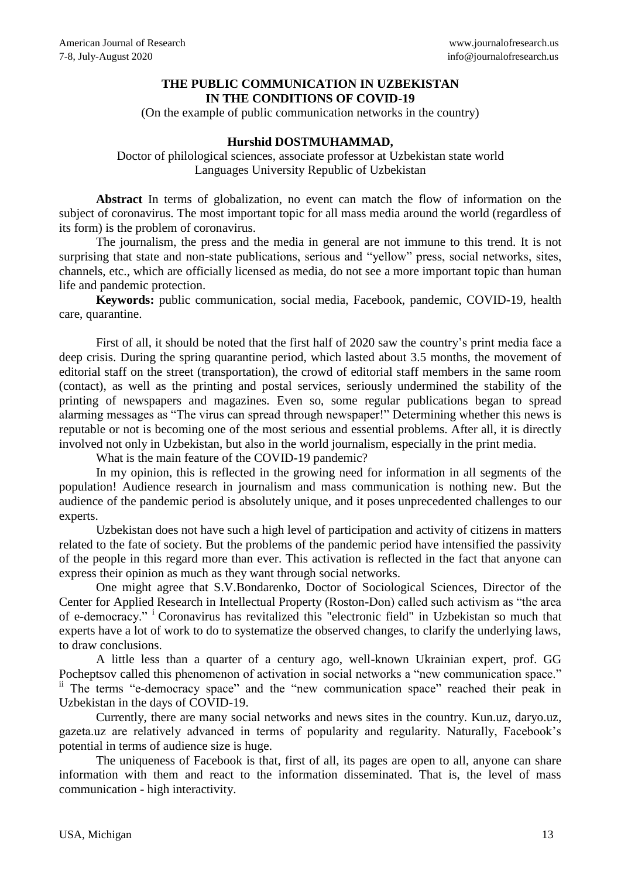## **THE PUBLIC COMMUNICATION IN UZBEKISTAN IN THE CONDITIONS OF COVID-19**

(On the example of public communication networks in the country)

## **Hurshid DOSTMUHAMMAD,**

Doctor of philological sciences, associate professor at Uzbekistan state world Languages University Republic of Uzbekistan

**Abstract** In terms of globalization, no event can match the flow of information on the subject of coronavirus. The most important topic for all mass media around the world (regardless of its form) is the problem of coronavirus.

The journalism, the press and the media in general are not immune to this trend. It is not surprising that state and non-state publications, serious and "yellow" press, social networks, sites, channels, etc., which are officially licensed as media, do not see a more important topic than human life and pandemic protection.

**Keywords:** public communication, social media, Facebook, pandemic, COVID-19, health care, quarantine.

First of all, it should be noted that the first half of 2020 saw the country's print media face a deep crisis. During the spring quarantine period, which lasted about 3.5 months, the movement of editorial staff on the street (transportation), the crowd of editorial staff members in the same room (contact), as well as the printing and postal services, seriously undermined the stability of the printing of newspapers and magazines. Even so, some regular publications began to spread alarming messages as "The virus can spread through newspaper!" Determining whether this news is reputable or not is becoming one of the most serious and essential problems. After all, it is directly involved not only in Uzbekistan, but also in the world journalism, especially in the print media.

What is the main feature of the COVID-19 pandemic?

In my opinion, this is reflected in the growing need for information in all segments of the population! Audience research in journalism and mass communication is nothing new. But the audience of the pandemic period is absolutely unique, and it poses unprecedented challenges to our experts.

Uzbekistan does not have such a high level of participation and activity of citizens in matters related to the fate of society. But the problems of the pandemic period have intensified the passivity of the people in this regard more than ever. This activation is reflected in the fact that anyone can express their opinion as much as they want through social networks.

One might agree that S.V.Bondarenko, Doctor of Sociological Sciences, Director of the Center for Applied Research in Intellectual Property (Roston-Don) called such activism as "the area of e-democracy." <sup>i</sup>Coronavirus has revitalized this "electronic field" in Uzbekistan so much that experts have a lot of work to do to systematize the observed changes, to clarify the underlying laws, to draw conclusions.

A little less than a quarter of a century ago, well-known Ukrainian expert, prof. GG Pocheptsov called this phenomenon of activation in social networks a "new communication space." <sup>ii</sup> The terms "e-democracy space" and the "new communication space" reached their peak in Uzbekistan in the days of COVID-19.

Currently, there are many social networks and news sites in the country. Kun.uz, daryo.uz, gazeta.uz are relatively advanced in terms of popularity and regularity. Naturally, Facebook's potential in terms of audience size is huge.

The uniqueness of Facebook is that, first of all, its pages are open to all, anyone can share information with them and react to the information disseminated. That is, the level of mass communication - high interactivity.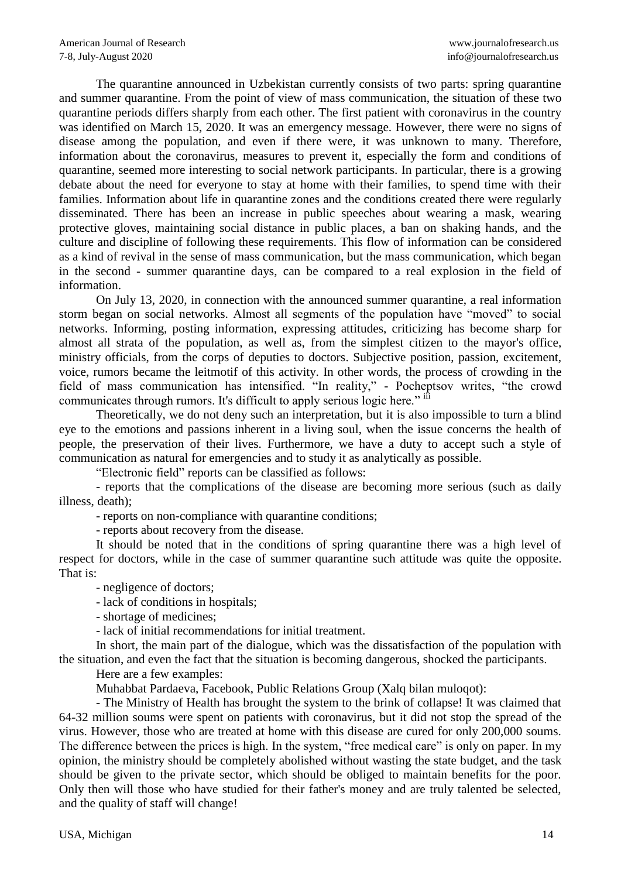The quarantine announced in Uzbekistan currently consists of two parts: spring quarantine and summer quarantine. From the point of view of mass communication, the situation of these two quarantine periods differs sharply from each other. The first patient with coronavirus in the country was identified on March 15, 2020. It was an emergency message. However, there were no signs of disease among the population, and even if there were, it was unknown to many. Therefore, information about the coronavirus, measures to prevent it, especially the form and conditions of quarantine, seemed more interesting to social network participants. In particular, there is a growing debate about the need for everyone to stay at home with their families, to spend time with their families. Information about life in quarantine zones and the conditions created there were regularly disseminated. There has been an increase in public speeches about wearing a mask, wearing protective gloves, maintaining social distance in public places, a ban on shaking hands, and the culture and discipline of following these requirements. This flow of information can be considered as a kind of revival in the sense of mass communication, but the mass communication, which began in the second - summer quarantine days, can be compared to a real explosion in the field of information.

On July 13, 2020, in connection with the announced summer quarantine, a real information storm began on social networks. Almost all segments of the population have "moved" to social networks. Informing, posting information, expressing attitudes, criticizing has become sharp for almost all strata of the population, as well as, from the simplest citizen to the mayor's office, ministry officials, from the corps of deputies to doctors. Subjective position, passion, excitement, voice, rumors became the leitmotif of this activity. In other words, the process of crowding in the field of mass communication has intensified. "In reality," - Pocheptsov writes, "the crowd communicates through rumors. It's difficult to apply serious logic here." iii

Theoretically, we do not deny such an interpretation, but it is also impossible to turn a blind eye to the emotions and passions inherent in a living soul, when the issue concerns the health of people, the preservation of their lives. Furthermore, we have a duty to accept such a style of communication as natural for emergencies and to study it as analytically as possible.

"Electronic field" reports can be classified as follows:

- reports that the complications of the disease are becoming more serious (such as daily illness, death);

- reports on non-compliance with quarantine conditions;

- reports about recovery from the disease.

It should be noted that in the conditions of spring quarantine there was a high level of respect for doctors, while in the case of summer quarantine such attitude was quite the opposite. That is:

- negligence of doctors;

- lack of conditions in hospitals;

- shortage of medicines;

- lack of initial recommendations for initial treatment.

In short, the main part of the dialogue, which was the dissatisfaction of the population with the situation, and even the fact that the situation is becoming dangerous, shocked the participants.

Here are a few examples:

Muhabbat Pardaeva, Facebook, Public Relations Group (Xalq bilan muloqot):

- The Ministry of Health has brought the system to the brink of collapse! It was claimed that 64-32 million soums were spent on patients with coronavirus, but it did not stop the spread of the virus. However, those who are treated at home with this disease are cured for only 200,000 soums. The difference between the prices is high. In the system, "free medical care" is only on paper. In my opinion, the ministry should be completely abolished without wasting the state budget, and the task should be given to the private sector, which should be obliged to maintain benefits for the poor. Only then will those who have studied for their father's money and are truly talented be selected, and the quality of staff will change!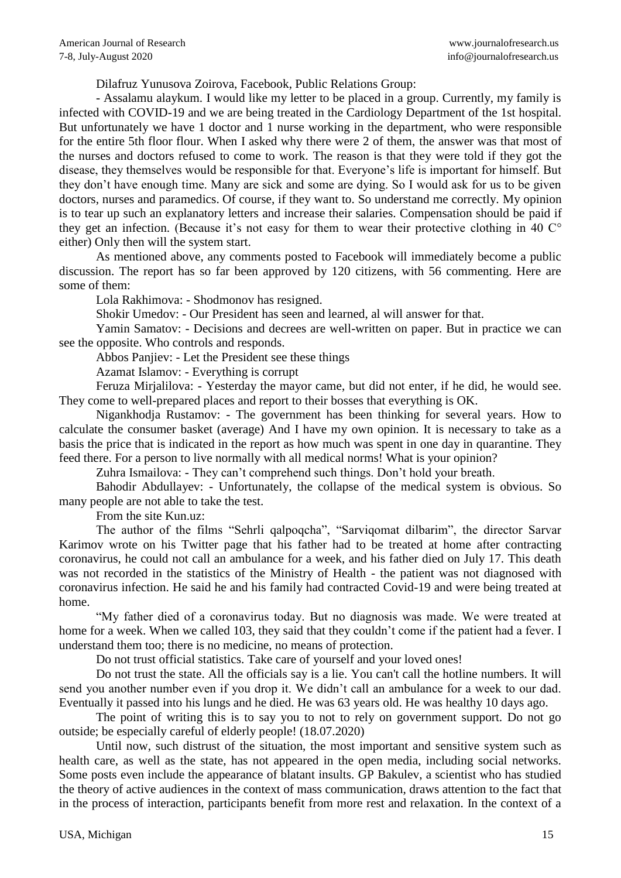Dilafruz Yunusova Zoirova, Facebook, Public Relations Group:

- Assalamu alaykum. I would like my letter to be placed in a group. Currently, my family is infected with COVID-19 and we are being treated in the Cardiology Department of the 1st hospital. But unfortunately we have 1 doctor and 1 nurse working in the department, who were responsible for the entire 5th floor flour. When I asked why there were 2 of them, the answer was that most of the nurses and doctors refused to come to work. The reason is that they were told if they got the disease, they themselves would be responsible for that. Everyone's life is important for himself. But they don't have enough time. Many are sick and some are dying. So I would ask for us to be given doctors, nurses and paramedics. Of course, if they want to. So understand me correctly. My opinion is to tear up such an explanatory letters and increase their salaries. Compensation should be paid if they get an infection. (Because it's not easy for them to wear their protective clothing in 40 C° either) Only then will the system start.

As mentioned above, any comments posted to Facebook will immediately become a public discussion. The report has so far been approved by 120 citizens, with 56 commenting. Here are some of them:

Lola Rakhimova: - Shodmonov has resigned.

Shokir Umedov: - Our President has seen and learned, al will answer for that.

Yamin Samatov: - Decisions and decrees are well-written on paper. But in practice we can see the opposite. Who controls and responds.

Abbos Panjiev: - Let the President see these things

Azamat Islamov: - Everything is corrupt

Feruza Mirjalilova: - Yesterday the mayor came, but did not enter, if he did, he would see. They come to well-prepared places and report to their bosses that everything is OK.

Nigankhodja Rustamov: - The government has been thinking for several years. How to calculate the consumer basket (average) And I have my own opinion. It is necessary to take as a basis the price that is indicated in the report as how much was spent in one day in quarantine. They feed there. For a person to live normally with all medical norms! What is your opinion?

Zuhra Ismailova: - They can't comprehend such things. Don't hold your breath.

Bahodir Abdullayev: - Unfortunately, the collapse of the medical system is obvious. So many people are not able to take the test.

From the site Kun.uz:

The author of the films "Sehrli qalpoqcha", "Sarviqomat dilbarim", the director Sarvar Karimov wrote on his Twitter page that his father had to be treated at home after contracting coronavirus, he could not call an ambulance for a week, and his father died on July 17. This death was not recorded in the statistics of the Ministry of Health - the patient was not diagnosed with coronavirus infection. He said he and his family had contracted Covid-19 and were being treated at home.

"My father died of a coronavirus today. But no diagnosis was made. We were treated at home for a week. When we called 103, they said that they couldn't come if the patient had a fever. I understand them too; there is no medicine, no means of protection.

Do not trust official statistics. Take care of yourself and your loved ones!

Do not trust the state. All the officials say is a lie. You can't call the hotline numbers. It will send you another number even if you drop it. We didn't call an ambulance for a week to our dad. Eventually it passed into his lungs and he died. He was 63 years old. He was healthy 10 days ago.

The point of writing this is to say you to not to rely on government support. Do not go outside; be especially careful of elderly people! (18.07.2020)

Until now, such distrust of the situation, the most important and sensitive system such as health care, as well as the state, has not appeared in the open media, including social networks. Some posts even include the appearance of blatant insults. GP Bakulev, a scientist who has studied the theory of active audiences in the context of mass communication, draws attention to the fact that in the process of interaction, participants benefit from more rest and relaxation. In the context of a